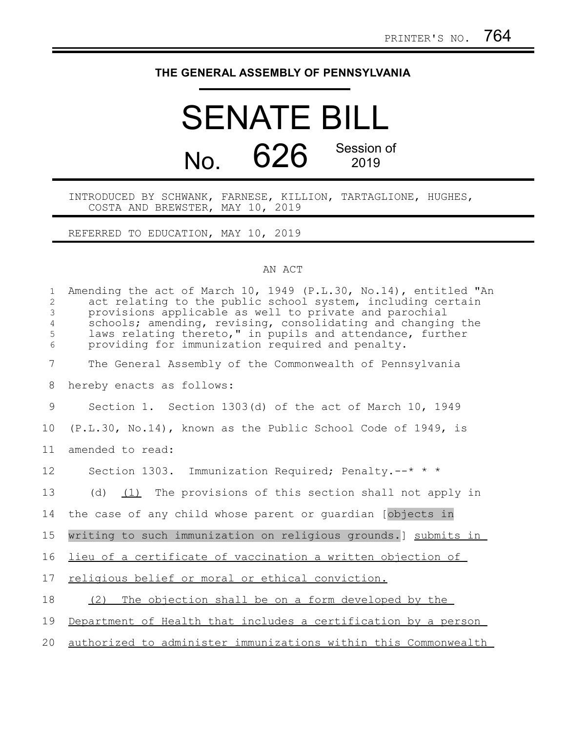## **THE GENERAL ASSEMBLY OF PENNSYLVANIA**

## SENATE BILL No. 626 Session of 2019

INTRODUCED BY SCHWANK, FARNESE, KILLION, TARTAGLIONE, HUGHES, COSTA AND BREWSTER, MAY 10, 2019

REFERRED TO EDUCATION, MAY 10, 2019

## AN ACT

| $\mathbf{1}$<br>2<br>$\mathfrak{Z}$<br>$\overline{4}$<br>5<br>6 | Amending the act of March 10, 1949 (P.L.30, No.14), entitled "An<br>act relating to the public school system, including certain<br>provisions applicable as well to private and parochial<br>schools; amending, revising, consolidating and changing the<br>laws relating thereto," in pupils and attendance, further<br>providing for immunization required and penalty. |
|-----------------------------------------------------------------|---------------------------------------------------------------------------------------------------------------------------------------------------------------------------------------------------------------------------------------------------------------------------------------------------------------------------------------------------------------------------|
| $\overline{7}$                                                  | The General Assembly of the Commonwealth of Pennsylvania                                                                                                                                                                                                                                                                                                                  |
| 8                                                               | hereby enacts as follows:                                                                                                                                                                                                                                                                                                                                                 |
| 9                                                               | Section 1. Section 1303(d) of the act of March 10, 1949                                                                                                                                                                                                                                                                                                                   |
| 10                                                              | (P.L.30, No.14), known as the Public School Code of 1949, is                                                                                                                                                                                                                                                                                                              |
| 11                                                              | amended to read:                                                                                                                                                                                                                                                                                                                                                          |
| 12                                                              | Section 1303. Immunization Required; Penalty.--* * *                                                                                                                                                                                                                                                                                                                      |
| 13                                                              | (d) $(1)$ The provisions of this section shall not apply in                                                                                                                                                                                                                                                                                                               |
| 14                                                              | the case of any child whose parent or guardian [objects in                                                                                                                                                                                                                                                                                                                |
| 15                                                              | writing to such immunization on religious grounds. ] submits in                                                                                                                                                                                                                                                                                                           |
| 16                                                              | lieu of a certificate of vaccination a written objection of                                                                                                                                                                                                                                                                                                               |
| 17                                                              | religious belief or moral or ethical conviction.                                                                                                                                                                                                                                                                                                                          |
| 18                                                              | The objection shall be on a form developed by the<br>(2)                                                                                                                                                                                                                                                                                                                  |
| 19                                                              | Department of Health that includes a certification by a person                                                                                                                                                                                                                                                                                                            |
| 20                                                              | authorized to administer immunizations within this Commonwealth                                                                                                                                                                                                                                                                                                           |